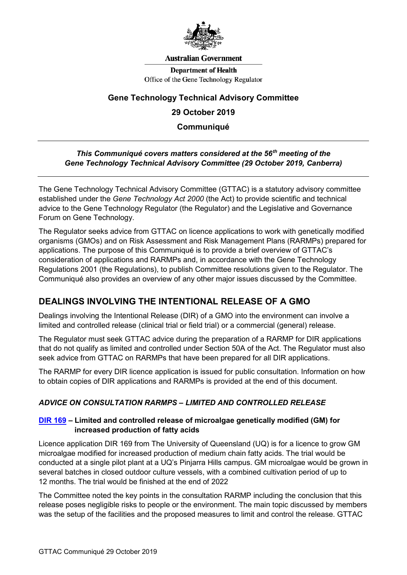

#### **Australian Government**

**Department of Health** Office of the Gene Technology Regulator

### **Gene Technology Technical Advisory Committee**

## **29 October 2019**

**Communiqué**

#### *This Communiqué covers matters considered at the 56***th** *meeting of the Gene Technology Technical Advisory Committee (29 October 2019, Canberra)*

The Gene Technology Technical Advisory Committee (GTTAC) is a statutory advisory committee established under the *Gene Technology Act 2000* (the Act) to provide scientific and technical advice to the Gene Technology Regulator (the Regulator) and the Legislative and Governance Forum on Gene Technology.

The Regulator seeks advice from GTTAC on licence applications to work with genetically modified organisms (GMOs) and on Risk Assessment and Risk Management Plans (RARMPs) prepared for applications. The purpose of this Communiqué is to provide a brief overview of GTTAC's consideration of applications and RARMPs and, in accordance with the Gene Technology Regulations 2001 (the Regulations), to publish Committee resolutions given to the Regulator. The Communiqué also provides an overview of any other major issues discussed by the Committee.

# **DEALINGS INVOLVING THE INTENTIONAL RELEASE OF A GMO**

Dealings involving the Intentional Release (DIR) of a GMO into the environment can involve a limited and controlled release (clinical trial or field trial) or a commercial (general) release.

The Regulator must seek GTTAC advice during the preparation of a RARMP for DIR applications that do not qualify as limited and controlled under Section 50A of the Act. The Regulator must also seek advice from GTTAC on RARMPs that have been prepared for all DIR applications.

The RARMP for every DIR licence application is issued for public consultation. Information on how to obtain copies of DIR applications and RARMPs is provided at the end of this document.

### *ADVICE ON CONSULTATION RARMPS – LIMITED AND CONTROLLED RELEASE*

#### **[DIR 169](http://www.ogtr.gov.au/internet/ogtr/publishing.nsf/Content/DIR169) – Limited and controlled release of microalgae genetically modified (GM) for increased production of fatty acids**

Licence application DIR 169 from The University of Queensland (UQ) is for a licence to grow GM microalgae modified for increased production of medium chain fatty acids. The trial would be conducted at a single pilot plant at a UQ's Pinjarra Hills campus. GM microalgae would be grown in several batches in closed outdoor culture vessels, with a combined cultivation period of up to 12 months. The trial would be finished at the end of 2022

The Committee noted the key points in the consultation RARMP including the conclusion that this release poses negligible risks to people or the environment. The main topic discussed by members was the setup of the facilities and the proposed measures to limit and control the release. GTTAC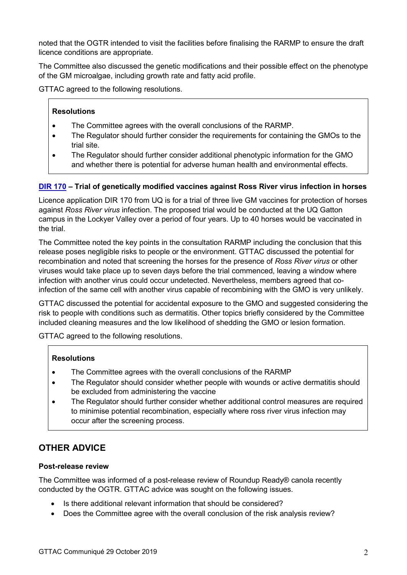noted that the OGTR intended to visit the facilities before finalising the RARMP to ensure the draft licence conditions are appropriate.

The Committee also discussed the genetic modifications and their possible effect on the phenotype of the GM microalgae, including growth rate and fatty acid profile.

GTTAC agreed to the following resolutions.

### **Resolutions**

- The Committee agrees with the overall conclusions of the RARMP.
- The Regulator should further consider the requirements for containing the GMOs to the trial site.
- The Regulator should further consider additional phenotypic information for the GMO and whether there is potential for adverse human health and environmental effects.

### **[DIR 170](http://www.ogtr.gov.au/internet/ogtr/publishing.nsf/Content/DIR170) – Trial of genetically modified vaccines against Ross River virus infection in horses**

Licence application DIR 170 from UQ is for a trial of three live GM vaccines for protection of horses against *Ross River virus* infection. The proposed trial would be conducted at the UQ Gatton campus in the Lockyer Valley over a period of four years. Up to 40 horses would be vaccinated in the trial.

The Committee noted the key points in the consultation RARMP including the conclusion that this release poses negligible risks to people or the environment. GTTAC discussed the potential for recombination and noted that screening the horses for the presence of *Ross River virus* or other viruses would take place up to seven days before the trial commenced, leaving a window where infection with another virus could occur undetected. Nevertheless, members agreed that coinfection of the same cell with another virus capable of recombining with the GMO is very unlikely.

GTTAC discussed the potential for accidental exposure to the GMO and suggested considering the risk to people with conditions such as dermatitis. Other topics briefly considered by the Committee included cleaning measures and the low likelihood of shedding the GMO or lesion formation.

GTTAC agreed to the following resolutions.

### **Resolutions**

- The Committee agrees with the overall conclusions of the RARMP
- The Regulator should consider whether people with wounds or active dermatitis should be excluded from administering the vaccine
- The Regulator should further consider whether additional control measures are required to minimise potential recombination, especially where ross river virus infection may occur after the screening process.

# **OTHER ADVICE**

#### **Post-release review**

The Committee was informed of a post-release review of Roundup Ready® canola recently conducted by the OGTR. GTTAC advice was sought on the following issues.

- Is there additional relevant information that should be considered?
- Does the Committee agree with the overall conclusion of the risk analysis review?